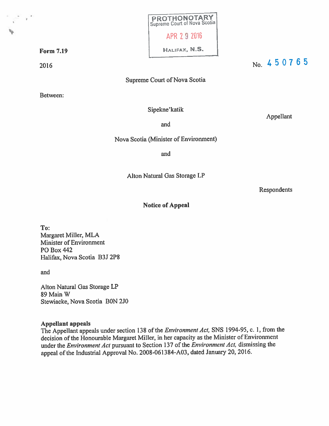|                   | <b>PROTHONOTARY</b><br>Supreme Court of Nova Scotia |
|-------------------|-----------------------------------------------------|
|                   | APR 2 9 2016                                        |
| F <b>orm 7.19</b> | HALIFAX, N.S.                                       |

 $\frac{1}{2016}$  No. 450765

Supreme Court of Nova Scotia

Between:

Sipekne'katik

Appellant

and

Nova Scotia (Minister of Environment)

and

Alton Natural Gas Storage LP

Respondents

#### Notice of Appeal

To: Margaret Miller, MLA Minister of Environment P0 Box 442 Halifax, Nova Scotia B3J 2P8

and

Alton Natural Gas Storage LP 89 Main W Stewiacke, Nova Scotia BON 2J0

#### Appellant appeals

The Appellant appeals under section <sup>138</sup> of the Environment Act, SNS 1994-95, c. 1, from the decision of the Honourable Margaret Miller, in her capacity as the Minister of Environment under the Environment Act pursuant to Section 137 of the Environment Act, dismissing the appeal of the Industrial Approval No. 2008-061384-A03, dated January 20, 2016.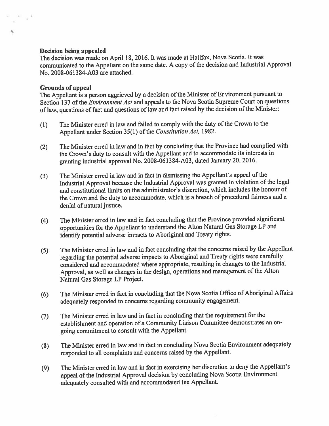#### Decision being appealed

S

The decision was made on April 18, 2016. It was made at Halifax, Nova Scotia. It was communicated to the Appellant on the same date. <sup>A</sup> copy of the decision and Industrial Approval No. 2008-061384-A03 are attached.

#### Grounds of appeal

The Appellant is <sup>a</sup> person aggrieved by <sup>a</sup> decision of the Minister of Environment pursuan<sup>t</sup> to Section 137 of the *Environment Act* and appeals to the Nova Scotia Supreme Court on questions of law, questions of fact and questions of law and fact raised by the decision of the Minister:

- (1) The Minister erred in law and failed to comply with the duty of the Crown to the Appellant under Section 35(1) of the Constitution Act, 1982.
- (2) The Minister erred in law and in fact by concluding that the Province had complied with the Crown's duty to consult with the Appellant and to accommodate its interests in granting industrial approva<sup>l</sup> No. 2008-061384-A03, dated January 20, 2016.
- (3) The Minister erred in law and in fact in dismissing the Appellant's appea<sup>l</sup> of the Industrial Approval because the Industrial Approval was granted in violation of the legal and constitutional limits on the administrator's discretion, which includes the honour of the Crown and the duty to accommodate, which is <sup>a</sup> breach of procedural fairness and <sup>a</sup> denial of natural justice.
- (4) The Minister erred in law and in fact concluding that the Province provided significant opportunities for the Appellant to understand the Alton Natural Gas Storage LP and identify potential adverse impacts to Aboriginal and Treaty rights.
- (5) The Minister erred in law and in fact concluding that the concerns raised by the Appellant regarding the potential adverse impacts to Aboriginal and Treaty rights were careffilly considered and accommodated where appropriate, resulting in changes to the Industrial Approval, as well as changes in the design, operations and managemen<sup>t</sup> of the Alton Natural Gas Storage LP Project.
- (6) The Minister erred in fact in concluding that the Nova Scotia Office of Aboriginal Affairs adequately responded to concerns regarding community engagement.
- (7) The Minister erred in law and in fact in concluding that the requirement for the establishment and operation of <sup>a</sup> Community Liaison Committee demonstrates an on going commitment to consult with the Appellant.
- (8) The Minister erred in law and in fact in concluding Nova Scotia Environment adequately responded to all complaints and concerns raised by the Appellant.
- (9) The Minister erred in law and in fact in exercising her discretion to deny the Appellant's appea<sup>l</sup> of the Industrial Approval decision by concluding Nova Scotia Environment adequately consulted with and accommodated the Appellant.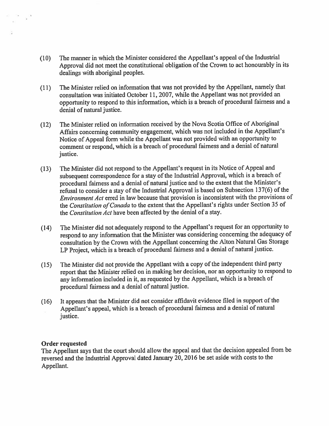- (10) The manner in which the Minister considered the Appellant's appea<sup>l</sup> of the Industrial Approval did not meet the constitutional obligation of the Crown to act honourably in its dealings with aboriginal peoples.
- (11) The Minister relied on information that was not provided by the Appellant, namely that consultation was initiated October 11, 2007, while the Appellant was not provided an opportunity to respon<sup>d</sup> to this information, which is <sup>a</sup> breach of procedural fairness and <sup>a</sup> denial of natural justice.
- (12) The Minister relied on information received by the Nova Scotia Office of Aboriginal Affairs concerning community engagement, which was not included in the Appellant's Notice of Appeal form while the Appellant was not provided with an opportunity to comment or respond, which is <sup>a</sup> breach of procedural fairness and <sup>a</sup> denial of natural justice.
- (13) The Minister did not respon<sup>d</sup> to the Appellant's reques<sup>t</sup> in its Notice of Appeal and subsequent correspondence for a stay of the Industrial Approval, which is a breach of procedural fairness and <sup>a</sup> denial of natural justice and to the extent that the Minister's reffisal to consider <sup>a</sup> stay of the Industrial Approval is based on Subsection 137(6) of the Environment Act erred in law because that provision is inconsistent with the provisions of the Constitution of Canada to the extent that the Appellant's rights under Section 35 of the Constitution Act have been affected by the denial of <sup>a</sup> stay.
- (14) The Minister did not adequately respon<sup>d</sup> to the Appellant's reques<sup>t</sup> for an opportunity to respon<sup>d</sup> to any information that the Minister was considering concerning the adequacy of consultation by the Crown with the Appellant concerning the Alton Natural Gas Storage LP Project, which is <sup>a</sup> breach of procedural fairness and <sup>a</sup> denial of natural justice.
- (15) The Minister did not provide the Appellant with <sup>a</sup> copy of the independent third party repor<sup>t</sup> that the Minister relied on in making her decision, nor an opportunity to respon<sup>d</sup> to any information included in it, as requested by the Appellant, which is <sup>a</sup> breach of procedural fairness and <sup>a</sup> denial of natural justice.
- (16) It appears that the Minister did not consider affidavit evidence filed in suppor<sup>t</sup> of the Appellant's appeal, which is <sup>a</sup> breach of procedural fairness and <sup>a</sup> denial of natural justice.

#### Order requested

 $\chi^{\rm 13}$ 

The Appellant says that the court should allow the appea<sup>l</sup> and that the decision appealed from be reversed and the Industrial Approval dated January 20, <sup>2016</sup> be set aside with costs to the Appellant.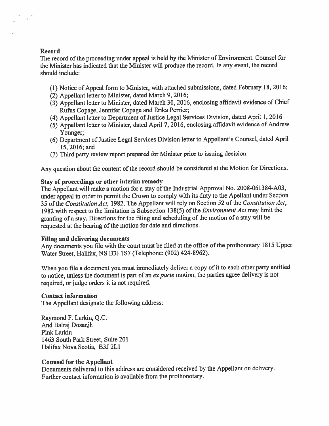#### Record

 $\tau$ 

The record of the proceeding under appea<sup>l</sup> is held by the Minister of Environment. Counsel for the Minister has indicated that the Minister will produce the record. In any event, the record should include:

- (1) Notice of Appeal form to Minister, with attached submissions, dated February 18, 2016;
- (2) Appellant letter to Minister, dated March 9,2016;
- (3) Appellant letter to Minister, dated March 30, 2016, enclosing affidavit evidence of Chief Rufus Copage, Jennifer Copage and Erika Perrier;
- (4) Appellant letter to Department of Justice Legal Services Division, dated April 1, 2016
- (5) Appellant letter to Minister, dated April 7, 2016, enclosing affidavit evidence of Andrew Younger;
- (6) Department of Justice Legal Services Division letter to Appellant's Counsel, dated April 15, 2016; and
- (7) Third party review repor<sup>t</sup> prepare<sup>d</sup> for Minister prior to issuing decision.

Any question about the content of the record should be considered at the Motion for Directions.

#### Stay of proceedings or other interim remedy

The Appellant will make <sup>a</sup> motion for <sup>a</sup> stay of the Industrial Approval No. 2008-061384-A03, under appea<sup>l</sup> in order to permit the Crown to comply with its duty to the Apellant under Section 35 of the Constitution Act, 1982. The Appellant will rely on Section 52 of the Constitution Act, 1982 with respect to the limitation is Subsection 138(5) of the *Environment Act* may limit the granting of <sup>a</sup> stay. Directions for the filing and scheduling of the motion of <sup>a</sup> stay will be requested at the hearing of the motion for date and directions.

#### Filing and delivering documents

Any documents you file with the court must be filed at the office of the prothonotary <sup>1815</sup> Upper Water Street, Halifax, NS B3J lS7 (Telephone: (902) 424-8962).

When you file <sup>a</sup> document you must immediately deliver <sup>a</sup> copy of it to each other party entitled to notice, unless the document is part of an ex parte motion, the parties agree delivery is not required, or judge orders it is not required.

#### Contact information

The Appellant designate the following address:

Raymond F. Larkin, Q.C. And Balraj Dosanjh Pink Larkin 1463 South Park Street, Suite 201 Halifax Nova Scotia, B3J 2L1

#### Counsel for the Appellant

Documents delivered to this address are considered received by the Appellant on delivery. Further contact information is available from the prothonotary.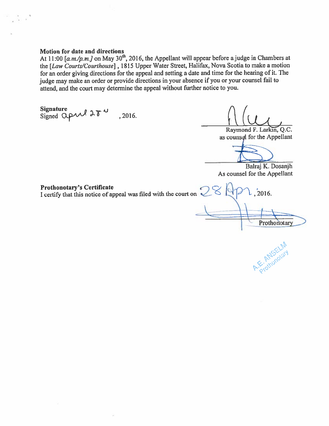#### Motion for date and directions

At 11:00 [a.m./p.m.] on May 30<sup>th</sup>, 2016, the Appellant will appear before a judge in Chambers at the [Law Courts/Courthouse], 1815 Upper Water Street, Halifax, Nova Scotia to make a motion for an order giving directions for the appeal and setting a date and time for the hearing of it. The judge may make an order or provide directions in your absence if you or your counsel fail to attend, and the court may determine the appeal without further notice to you.

Signature  $\rho \sim \omega$  $Signed Qp$ aal 2 $\delta^{\infty}$ , 2016

 $\mu$ 

Raymond F. Larkin, Q.C. as counsel for the Appellant

Balraj K. Dosanjh As counsel for the Appellant

Prothonotary's Certificate

I certify that this notice of appeal was filed with the court on  $\leq$   $\leq$   $\geq$   $\geq$   $\geq$   $\geq$  , 2016.

Prothonotary

Protonotar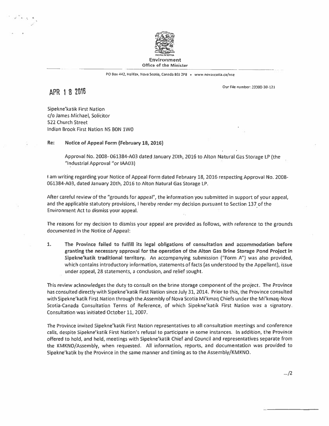

PO Box 442, Halifax, Nova Scotia, Canada B3J 2P8 • www.novascotia.ca/nse

Our File number: 23D00-30-U1

#### APR 182015

Sipekne'katik First Nation c/o James Michael, Solicitor 522 Church Street Indian Brook First Nation NS SON iWO

Re: Notice of Appeal Form (February 18. 2016)

Approval No. 2008- 061384-A03 dated January 20th, 2016 to Alton Natural Gas Storage LP (the "Industrial Approval "or IAA03)

<sup>I</sup> am writing regarding your Notice of Appeal Form dated February 18, 2016 respecting Approval No. 2008- 061384-A03, dated January 20th, 2016 to Alton Natural Gas Storage LP.

After careful review of the "grounds for appeal", the information you submitted in suppor<sup>t</sup> of your appeal, and the applicable statutory provisions, I hereby render my decision pursuan<sup>t</sup> to Section 137 of the Environment Act to dismiss your appeal.

The reasons for my decision to dismiss your appeal are provided as follows, with reference to the grounds documented in the Notice of Appeal:

1. The Province failed to fulfill its legal obligations of consultation and accommodation before granting the necessary approval for the operation of the Alton Gas Brine Storage Pond Project in Sipekne'katik traditional territory. An accompanying submission ("Form A") was also provided, which contains introductory information, statements of facts (as understood by the Appellant), issue under appeal, 28 statements, <sup>a</sup> conclusion, and relief sought.

This review acknowledges the duty to consult on the brine storage componen<sup>t</sup> of the project. The Province has consulted directly with Sipekne'katik First Nation since July 31, 2014. Prior to this, the Province consulted with Sipekne'katik First Nation through the Assembly of Nova Scotia Mi'kmaq Chiefs under the Mi'kmaq-Nova Scotia-Canada Consultation Terms of Reference, of which Sipekne'katik First Nation was <sup>a</sup> signatory. Consultation was initiated October11, 2007.

The Province invited Sipekne'katik First Nation representatives to all consultation meetings and conference calls, despite Sipekne'katik First Nation's refusal to participate in some instances. In addition, the Province offered to hold, and held, meetings with Sipekne'katik Chief and Council and representatives separate from the KMKNO/Assembly, when requested. All information, reports, and documentation was provided to Sipekne'katik by the Province in the same manner and timing as to the Assembly/KMKNO.

../2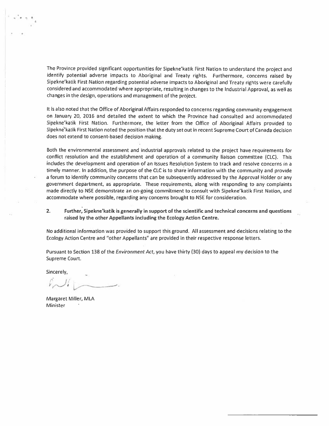The Province provided significant opportunities for Sipekne'katik First Nation to understand the project and identify potential adverse impacts to Aboriginal and Treaty rights. Furthermore, concerns raised by Sipekne'katik First Nation regarding potential adverse impacts to Aboriginal and Treaty rights were carefully considered and accommodated where appropriate, resulting in changes to the Industrial Approval, as well as changes in the design, operations and managemen<sup>t</sup> of the project.

It is also noted that the Office of Aboriginal Affairs responded to concerns regarding community engagemen<sup>t</sup> on January 20, 2016 and detailed the extent to which the Province had consulted and accommodated Sipekne'katik First Nation. Furthermore, the letter from the Office of Aboriginal Affairs provided to Sipekné'katik First Nation noted the position that the duty set out in recent Supreme Court ol Canada decision does not extend to consent-based decision making.

Both the environmental assessment and industrial approvals related to the project have requirements for conflict resolution and the establishment and operation of <sup>a</sup> community liaison committee (CLC). This includes the development and operation of an Issues Resolution System to track and resolve concerns in <sup>a</sup> timely manner. In addition, the purpose of the CLC is to share information with the community and provide <sup>a</sup> forum to identify community concerns that can be subsequently addressed by the Approval Holder or any governmen<sup>t</sup> department, as appropriate. These requirements, along with responding to any complaints made directly to NSE demonstrate an on-going commitment to consult with Sipekne'katik First Nation, and accommodate where possible, regarding any concerns brought to NSE for consideration.

2. Further, Sipekne'katik is generally in suppor<sup>t</sup> of the scientific and technical concerns and questions raised by the other Appellants including the Ecology Action Centre.

No additional information was provided to suppor<sup>t</sup> this ground. All assessment and decisions relating to the Ecology Action Centre and "other Appellants" are provided in their respective response letters.

Pursuant to Section 138 of the Environment Act, you have thirty (30) days to appeal my decision to the Supreme Court.

Sincerely,

 $L\cup L$ 

Margaret Miller, MLA **Minister**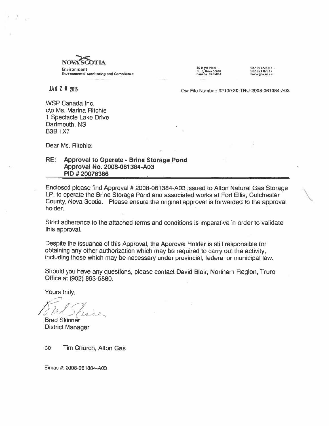

JAN 2 U 2D16 Our File Number: 92100-3O-TRU-2008-061384-A03

WSP Canada Inc. c\o Ms. Marina Ritchie 1 Spectacle Lake Drive Dartmouth, NS B3B1X7

Dear Ms. Ritchie:

#### RE: Approval to Operate - Brine Storage Pond Approval No. 2008-061384-A03 PID #20076386

Enclosed <sup>p</sup>lease find Approval # 2008-061 384-A03 issued to Alton Natural Gas Storage LP. to operate the Brine Storage Pond and associated works at Fort Ellis, Colchester County, Nova Scotia. Please ensure the original approva<sup>l</sup> is forwarded to the approva<sup>l</sup> holder.

Strict adherence to the attached terms and conditions is imperative in order to validate this approval.

Despite the issuance of this Approval, the Approval Holder is still responsible for obtaining any other authorization which may be required to carry out the activity, including those which may be necessary under provincial, federal or municipal law.

Should you have any questions, <sup>p</sup>lease contact David Blair, Northern Region, Truro Office at (902) 893-5880.

Yours truly,

Brad Skinner

District Manager

cc Tim Church, Alton Gas

Eimas #: 2008-061384-A03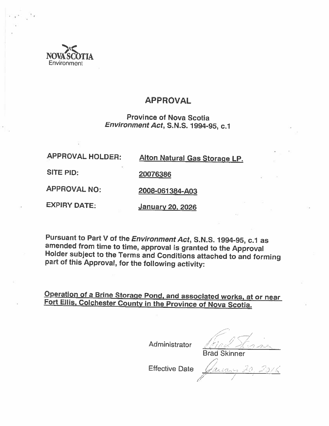

# APPROVAL

Province of Nova Scotia Environment Act, S.N.S. 1994-95, c.1

| <b>APPROVAL HOLDER:</b> | <b>Alton Natural Gas Storage LP</b> |
|-------------------------|-------------------------------------|
| SITE PID:               | 20076386                            |
| <b>APPROVAL NO:</b>     | 2008-061384-A03                     |
| <b>EXPIRY DATE:</b>     | <b>January 20, 2026</b>             |

Pursuant to Part <sup>V</sup> of the Environment Act, S.N.S. 1994-95, c.1 as amended from time to time, approval is granted to the Approval Holder subject to the Terms and Conditions attached to and forming part of this Approval, for the following activity:

Operation of <sup>a</sup> Brine Storage Pond. and associated works, at or near Fort Ellis, Colchester County in the Province of Nova Scotia.

Administrator

Brad Skinner

Effective Date  $($ *leasen 20, 2016* /2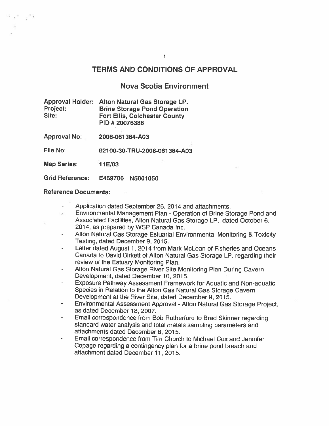#### TERMS AND CONDITIONS OF APPROVAL

 $\mathbf{f}$ 

#### Nova Scotia Environment

Approval Holder: Alton Natural Gas Storage LP. Project: Brine Storage Pond Operation<br>Site: Fort Filis, Colchester County Fort Ellis, Colchester County PID # 20076386

Approval No: 2008-061384-A03

File No: 921 Q0-30-TRU-2008-061 384-A03

Map Series: 11 E/03

Grid Reference: E469700 N5001050

#### Reference Documents:

- Application dated September 26, 2014 and attachments.
- Environmental Management Plan Operation of Brine Storage Pond and  $\sigma_{\rm{B}}$ Associated Facilities, Alton Natural Gas Storage LP., dated October 6, 2014, as prepared by WSP Canada Inc.
- Alton Natural Gas Storage Estuarial Environmental Monitoring & Toxicity Testing, dated December 9, 2015.
- Letter dated August 1, 2014 from Mark McLean of Fisheries and Oceans Canada to David Birkett of Alton Natural Gas Storage LP. regarding their review of the Estuary Monitoring Plan.
- Alton Natural Gas Storage River Site Monitoring Plan During Cavern Development, dated December 10, 2015.
- Exposure Pathway Assessment Framework for Aquatic and Non-aquatic Species in Relation to the Alton Gas Natural Gas Storage Cavern Development at the River Site, dated December 9, 2015.
- Environmental Assessment Approval Alton Natural Gas Storage Project, as dated December 18, 2007.
- Email correspondence from Bob Rutherford to Brad Skinner regarding standard water analysis and total metals sampling parameters and attachments dated December 8, 2015.
- Email correspondence from Tim Church to Michael Cox and Jennifer Copage regarding <sup>a</sup> contingency <sup>p</sup>lan for <sup>a</sup> brine pon<sup>d</sup> breach and attachment dated December 11, 2015.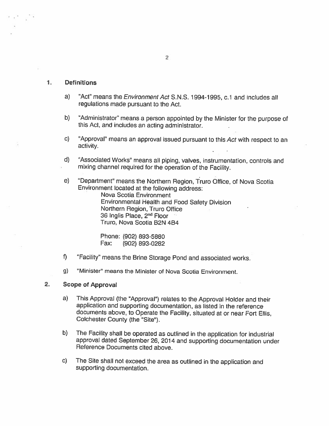#### $1.1$ **Definitions**

- a) "Act" means the *Environment Act* S.N.S. 1994-1995, c.1 and includes all regulations made pursuant to the Act.
- b) "Administrator" means <sup>a</sup> person appointed by the Minister for the purpose of this Act, and includes an acting administrator.
- c) "Approval" means an approval issued pursuant to this Act with respect to an activity.
- d) 'Associated Works' means all <sup>p</sup>iping, valves, instrumentation, controls and mixing channel required for the operation of the Facility.
- e) "Department" means the Northern Region, Truro Office, of Nova Scotia Environment located at the following address:

Nova Scotia Environment Environmental Health and Food Safety Division Northern Region, Truro Office 36 Inglis Place, 2nd Floor Truro, Nova Scotia B2N 4B4

Phone: (902) 893-5880 Fax: (902) 893-0282

- f) "Facility" means the Brine Storage Pond and associated works.
- g) "Minister" means the Minister of Nova Scotia Environment.

#### 2. Scope of Approval

- a) This Approval (the "Approval") relates to the Approval Holder and their application and supporting documentation, as listed in the reference documents above, to Operate the Facility, situated at or near Fort Ellis, Colchester County (the "Site").
- b) The Facility shall be operated as outlined in the application for industrial approval dated September 26, <sup>2014</sup> and supporting documentation under Reference Documents cited above.
- c) The Site shall not exceed the area as outlined in the application and supporting documentation.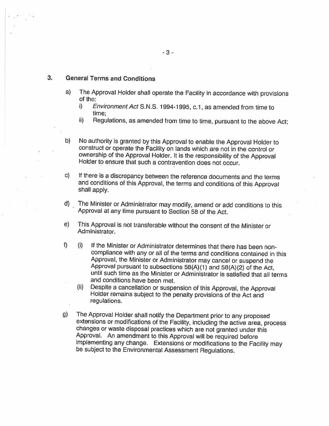#### 3. General Terms and Conditions

- a) The Approval Holder shall operate the Facility in accordance with provisions of the:
	- i) Environment Act S.N.S. 1994-1995, c.1, as amended from time to time;
	- ii) Regulations, as amended from time to time, pursuant to the above Act;
- b) No authority is granted by this Approval to enable the Approval Holder to construct or operate the Facility on lands which are not in the control or ownership of the Approval Holder. It is the responsibility of the Approval Holder to ensure that such <sup>a</sup> contravention does not occur.
- c) If there is a discrepancy between the reference documents and the terms and conditions of this Approval, the terms and conditions of this Approval shall apply.
- d) The Minister or Administrator may modify, amend or add conditions to this Approval at any time pursuant to Section <sup>58</sup> of the Act.
- e) This Approval is not transferable without the consent of the Minister or Administrator.
- f) (i) If the Minister or Administrator determines that there has been non compliance with any or all of the terms and conditions contained in this Approval, the Minister or Administrator may cancel or suspend the Approval pursuant to subsections 58(A)(1) and 58(A)(2) of the Act, until such time as the Minister or Administrator is satisfied that all terms and conditions have been met.
	- (ii) Despite a cancellation or suspension of this Approval, the Approval Holder remains subject to the penalty provisions of the Act and regulations.
- g) The Approval Holder shall notify the Department prior to any proposed extensions or modifications of the Facility, including the active area, process changes or waste disposal practices which are not granted under this Approval. An amendment to this Approval will be required before implementing any change. Extensions or modifications to the Facility may be subject to the Environmental Assessment Regulations.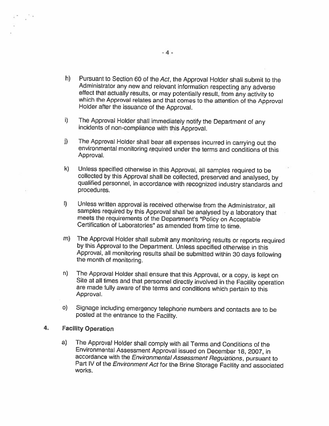- h) Pursuant to Section <sup>60</sup> of the Act, the Approval Holder shall submit to the Administrator any new and relevant information respecting any adverse effect that actually results, or may potentially result, from any activity to which the Approval relates and that comes to the attention of the Approval Holder after the issuance of the Approval.
- i) The Approval Holder shall immediately notify the Department of any incidents of non-compliance with this Approval.
- j) The Approval Holder shall bear all expenses incurred in carrying out the environmental monitoring required under the terms and conditions of this Approval.
- k) Unless specified otherwise in this Approval, all samples required to be collected by this Approval shall be collected, preserved and analysed, by qualified personnel, in accordance with recognized industry standards and procedures.
- I) Unless written approval is received otherwise from the Administrator, all samples required by this Approval shall be analysed by <sup>a</sup> laboratory that meets the requirements of the Department's "Policy on Acceptable Certification of Laboratories" as amended from time to time.
- m) The Approval Holder shall submit any monitoring results or reports required by this Approval to the Department. Unless specified otherwise in this Approval, all monitoring results shall be submitted within <sup>30</sup> days following the month of monitoring.
- n) The Approval Holder shall ensure that this Approval, or <sup>a</sup> copy, is kept on Site at all times and that personnel directly involved in the Facility operation are made fully aware of the terms and conditions which pertain to this Approval.
- o) Signage including emergency telephone numbers and contacts are to be posted at the entrance to the Facility.

#### 4. Facility Operation

a) The Approval Holder shall comply with all Terms and Conditions of the Environmental Assessment Approval issued on December 18, 2007, in accordance with the Environmental Assessment Regulations, pursuant to Part IV of the Environment Act for the Brine Storage Facility and associated works.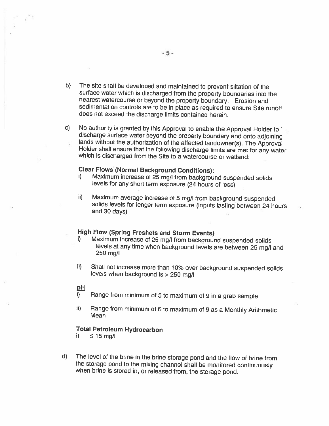- b) The site shall be developed and maintained to prevent siltation of the surface water which is discharged from the property boundaries into the nearest watercourse or beyond the property boundary. Erosion and sedimentation controls are to be in <sup>p</sup>lace as required to ensure Site runoff does not exceed the discharge limits contained herein.
- c) No authority is granted by this Approval to enable the Approval Holder to discharge surface water beyond the property boundary and onto adjoining lands without the authorization of the affected landowner(s). The Approval Holder shall ensure that the following discharge limits are met for any water which is discharged from the Site to <sup>a</sup> watercourse or wetland:

### Clear Flows (Normal Background Conditions):

- i) Maximum increase of 25 mg/l from background suspended solids levels for any short term exposure (24 hours of less)
- ii) Maximum average increase of <sup>5</sup> mg/I from background suspended solids levels for longer term exposure (inputs lasting between <sup>24</sup> hours and 30 days)

#### High Flow (Spring Freshets and Storm Events)

- i) Maximum increase of 25 mg/l from background suspended solids levels at any time when background levels are between <sup>25</sup> mg/I and 250 mg/I
- ii) Shall not increase more than 10% over background suspended solids levels when background is > 250 mg/l

#### <u>pH</u>

- i) Range from minimum of <sup>5</sup> to maximum of <sup>9</sup> in <sup>a</sup> grab sample
- ii) Range from minimum of <sup>6</sup> to maximum of <sup>9</sup> as <sup>a</sup> Monthly Arithmetic Mean

#### Total Petroleum Hydrocarbon

i)  $\leq 15$  mg/

d) The level of the brine in the brine storage pond and the flow of brine from the storage pond to the mixing channel shall be monitored continuously when brine is stored in, or released from, the storage pond.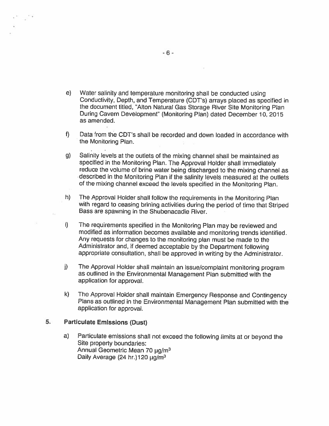- e) Water salinity and temperature monitoring shall be conducted using Conductivity, Depth, and Temperature (CDT's) arrays <sup>p</sup>laced as specified in the document titled, "Alton Natural Gas Storage River Site Monitoring Plan During Cavern Development" (Monitoring Plan) dated December 10, 2015 as amended.
- f) Data from the CDT's shall be recorded and down loaded in accordance with the Monitoring Plan.
- g) Salinity levels at the outlets of the mixing channel shall be maintained as specified in the Monitoring Plan. The Approval Holder shall immediately reduce the volume of brine water being discharged to the mixing channel as described in the Monitoring Plan if the salinity levels measured at the outlets of the mixing channel exceed the levels specified in the Monitoring Plan.
- h) The Approval Holder shall follow the requirements in the Monitoring Plan with regar<sup>d</sup> to ceasing brining activities during the period of time that Striped Bass are spawning in the Shubenacadie River.
- i) The requirements specified in the Monitoring Plan may be reviewed and modified as information becomes available and monitoring trends identified. Any requests for changes to the monitoring <sup>p</sup>lan must be made to the Administrator and, if deemed acceptable by the Department following appropriate consultation, shall be approve<sup>d</sup> in writing by the Administrator.
- j) The Approval Holder shall maintain an issue/complaint monitoring program as outlined in the Environmental Management Plan submitted with the application for approval.
- k) The Approval Holder shall maintain Emergency Response and Contingency Plans as outlined in the Environmental Management Plan submitted with the application for approval.

#### 5. Particulate Emissions (Dust)

a) Particulate emissions shall not exceed the following limits at or beyond the Site property boundaries: Annual Geometric Mean 70  $\mu q/m^3$ Daily Average (24 hr.)  $120 \mu q/m^3$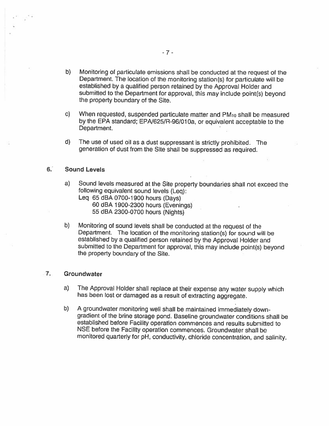- b) Monitoring of particulate emissions shall be conducted at the request of the Department. The location of the monitoring station(s) for particulate will be established by <sup>a</sup> qualified person retained by the Approval Holder and submitted to the Department for approval, this may include point(s) beyond the property boundary of the Site.
- c) When requested, suspended particulate matter and PMio shall be measured by the EPA standard; EPA/625/R-96/010a, or equivalent acceptable to the Department.
- d) The use of used oil as <sup>a</sup> dust suppressant is strictly prohibited. The generation of dust from the Site shall be suppressed as required.

#### 6: Sound Levels

- a) Sound levels measured at the Site property boundaries shall not exceed the following equivalent sound levels (Leq):
	- Leq <sup>65</sup> dBA 0700-1900 hours (Days) <sup>60</sup> dBA 1900-2300 hours (Evenings) 55 dBA 2300-0700 hours (Nights)
- b) Monitoring of sound levels shall be conducted at the request of the Department. The location of the monitoring station(s) for sound will be established by <sup>a</sup> qualified person retained by the Approval Holder and submitted to the Department for approval, this may include paint(s) beyond the property boundary of the Site.

#### 7. Groundwater

- a) The Approval Holder shall replace at their expense any water supply which has been lost or damaged as <sup>a</sup> result of extracting aggregate.
- b) A groundwater monitoring well shall be maintained immediately downgradient of the brine storage pond. Baseline groundwater conditions shall be established before Facility operation commences and results submitted to NSE before the Facility operation commences. Groundwater shall be monitored quarterly for <sup>p</sup>H, conductivity, chloride concentration, and salinity.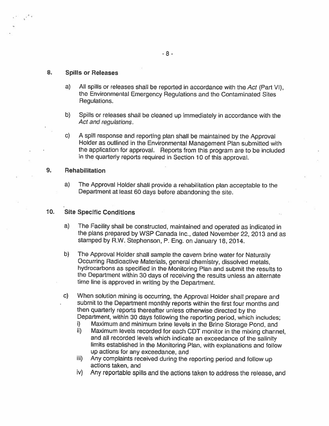#### 8. Spills or Releases

- a) All spills or releases shall be reported in accordance with the Act (Part VI), the Environmental Emergency Regulations and the Contaminated Sites Regulations.
- b) Spills or releases shall be cleaned up immediately in accordance with the Act and regulations.
- c) <sup>A</sup> spill response and reporting <sup>p</sup>lan shall be maintained by the Approval Holder as outlined in the Environmental Management Plan submitted with the application for approval. Reports from this program are to be included in the quarterly reports required in Section <sup>10</sup> of this approval.

#### 9. Rehabilitation

a) The Approval Holder shall provide <sup>a</sup> rehabilitation <sup>p</sup>lan acceptable to the Department at least <sup>60</sup> days before abandoning the site.

#### 10. Site Specific Conditions

- a) The Facility shall be constructed, maintained and operated as indicated in the <sup>p</sup>lans prepared by WSP Canada Inc., dated November 22, <sup>2013</sup> and as stamped by R.W. Stephenson, P. Eng. on January 18, 2014.
- b) The Approval Holder shall sample the cavern brine water for Naturally Occurring Radioactive Materials, general chemistry, dissolved metals, hydrocarbons as specified in the Monitoring Plan and submit the results to the Department within <sup>30</sup> days of receiving the results unless an alternate time line is approved in writing by the Department.
- c) When solution mining is occurring, the Approval Holder shall prepare and submit to the Department monthly reports within the first four months and then quarterly reports thereafter unless otherwise directed by the Department, within <sup>30</sup> days following the reporting period, which includes;
	- i) Maximum and minimum brine levels in the Brine Storage Pond, and
	- ii) Maximum levels recorded for each CDT monitor in the mixing channel, and all recorded levels which indicate an exceedance of the salinity limits established in the Monitoring Plan, with explanations and follow up actions for any exceedance, and
	- iii) Any complaints received during the reporting period and follow up actions taken, and
	- iv) Any reportable spills and the actions taken to address the release, and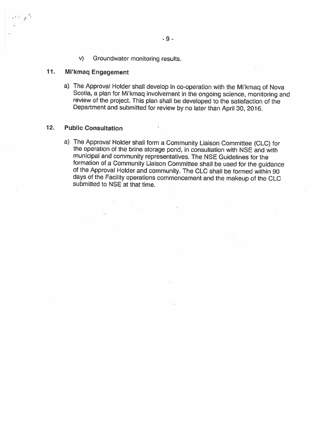v) Groundwater monitoring results.

없는 사람

55.

 $\sim$ 

#### 11. Mi'kmaq Engagement

a-,,,

a) The Approval Holder shall develop in co-operation with the Mi'kmaq of Nova Scotia, <sup>a</sup> <sup>p</sup>lan for Mi'kmaq involvement in the ongoing science, monitoring and review of the project. This <sup>p</sup>lan shall be developed to the satisfaction of the Department and submitted for review by no later than April 30, 2016.

#### 12, Public Consultation

a) The Approval Holder shall form <sup>a</sup> Community Liaison Committee (CLC) for the operation of the brine storage pond, in consultation with NSE and with municipal and community representatives. The NSE Guidelines for the formation of <sup>a</sup> Community Liaison Committee shall be used for the guidance of the Approval Holder and community. The CLC shall be formed within <sup>90</sup> days of the Facility operations commencement and the makeup of the CLC submitted to NSE at that time.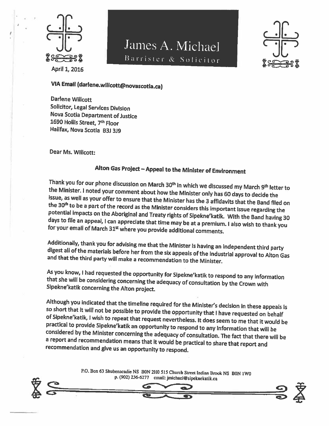

# James A. Michael Barrister & Solicitor

 $\underline{\square}$  $% **Proof**$ • $E$ 

# VIA Email (darlene.wiitcott@novascotia.ca)

Darlene Willcott Solicitor, Legal Services Division Nova Scotia Department of Justice 1690 Hollis Street, 7<sup>th</sup> Floor Halifax, Nova Scotia 83J 3i9

Dear Ms. Willcott:

# Alton Gas Project — Appeal to the Minister of Environment

Thank you for our phone discussion on March 30<sup>th</sup> in which we discussed my March 9<sup>th</sup> letter to the Minister. <sup>I</sup> noted your comment about how the Minister only has <sup>60</sup> days to decide the issue, as well as your offer to ensure that the Minister has the <sup>3</sup> affidavits that the Band filed on the 30<sup>th</sup> to be a part of the record as the Minister considers this important Issue regarding the potential impacts on the Aboriginal and Treaty rights of Sipekne'katik. With the Band having <sup>30</sup> days to file an appeal, <sup>I</sup> can appreciate that time may be at <sup>a</sup> premium. <sup>I</sup> also wish to thank you for your email of March 31st where you provide additional comments.

Additionally, thank you for advising me that the Minister is having an independent third party digest all of the materials before her from the six appeals of the industrial approval to Alton Gas and that the third party will make <sup>a</sup> recommendation to the Minister.

As you know, <sup>I</sup> had requested the opportunity for Sipekne'katik to respond to any information that she will be considering concerning the adequacy of consultation by the Crown with Sipekne'katik concerning the Alton project.

Although you indicated that the timeline required for the Minister's decision in these appeals is so short that it will not be possible to provide the opportunity that <sup>I</sup> have requested on behalf of Sipekne'katik, <sup>I</sup> wish to repeat that request nevertheless. It does seem to me that it would be practical to provide Sipekne'katik an opportunity to respond to any Information that will be considered by the Minister concerning the adequacy of consultation. The fact that there will be <sup>a</sup> report and recommendation means that it would be practical to share that report and recommendation and <sup>g</sup>ive us an opportunity to respond.

> P.O. Box 63 Shubenacadie NS BON 2H0 515 Church Street Indian Brook NS BON 1W0 p. (902) 236-6277 email: jmichael@sipeknekatik.ca